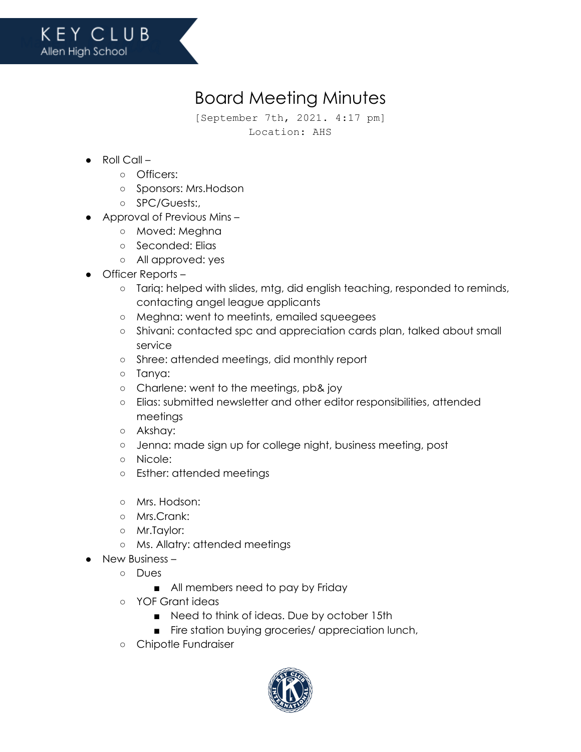## Board Meeting Minutes

[September 7th, 2021. 4:17 pm] Location: AHS

- $\bullet$  Roll Call
	- Officers:
	- Sponsors: Mrs.Hodson
	- SPC/Guests:,
- Approval of Previous Mins
	- Moved: Meghna
	- Seconded: Elias
	- All approved: yes
- Officer Reports
	- Tariq: helped with slides, mtg, did english teaching, responded to reminds, contacting angel league applicants
	- Meghna: went to meetints, emailed squeegees
	- o Shivani: contacted spc and appreciation cards plan, talked about small service
	- Shree: attended meetings, did monthly report
	- Tanya:
	- Charlene: went to the meetings, pb& joy
	- Elias: submitted newsletter and other editor responsibilities, attended meetings
	- Akshay:
	- Jenna: made sign up for college night, business meeting, post
	- Nicole:
	- Esther: attended meetings
	- Mrs. Hodson:
	- Mrs.Crank:
	- Mr.Taylor:
	- Ms. Allatry: attended meetings
	- New Business
		- Dues
			- All members need to pay by Friday
		- YOF Grant ideas
			- Need to think of ideas. Due by october 15th
			- Fire station buying groceries/ appreciation lunch,
		- Chipotle Fundraiser